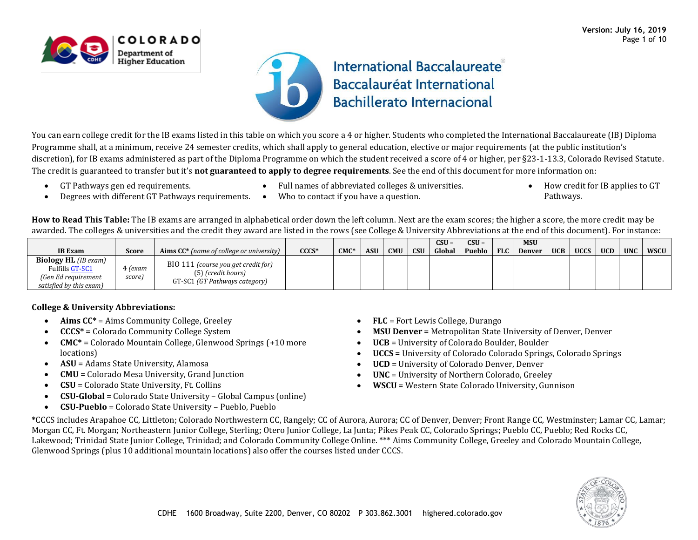

## **International Baccalaureate** Baccalauréat International **Bachillerato Internacional**

You can earn college credit for the IB exams listed in this table on which you score a 4 or higher. Students who completed the International Baccalaureate (IB) Diploma Programme shall, at a minimum, receive 24 semester credits, which shall apply to general education, elective or major requirements (at the public institution's discretion), for IB exams administered as part of the Diploma Programme on which the student received a score of 4 or higher, per §23-1-13.3, Colorado Revised Statute. The credit is guaranteed to transfer but it's **not guaranteed to apply to degree requirements**. See the end of this document for more information on:

• GT Pathways gen ed requirements.

• Full names of abbreviated colleges & universities.

• How credit for IB applies to GT Pathways.

- Degrees with different GT Pathways requirements. Who to contact if you have a question.
	-

**How to Read This Table:** The IB exams are arranged in alphabetical order down the left column. Next are the exam scores; the higher a score, the more credit may be awarded. The colleges & universities and the credit they award are listed in the rows (see College & University Abbreviations at the end of this document). For instance:

|                                                                                                  |                   |                                                                                            |             |              |            |            |            | $CSU -$ | $CSU -$ |            | <b>MSU</b>    |            |             |            |            |      |
|--------------------------------------------------------------------------------------------------|-------------------|--------------------------------------------------------------------------------------------|-------------|--------------|------------|------------|------------|---------|---------|------------|---------------|------------|-------------|------------|------------|------|
| <b>IB</b> Exam                                                                                   | Score             | <b>Aims CC*</b> (name of college or university)                                            | <b>CCCS</b> | <b>CMC</b> * | <b>ASU</b> | <b>CMU</b> | <b>CSU</b> | Global  | Pueblo  | <b>FLC</b> | <b>Denver</b> | <b>UCB</b> | <b>UCCS</b> | <b>UCD</b> | <b>UNC</b> | WSCU |
| <b>Biology HL</b> (IB exam)<br>Fulfills GT-SC1<br>(Gen Ed requirement<br>satisfied by this exam) | 4 (exam<br>score) | BIO 111 (course you get credit for)<br>(5) (credit hours)<br>GT-SC1 (GT Pathways category) |             |              |            |            |            |         |         |            |               |            |             |            |            |      |

## **College & University Abbreviations:**

- **Aims CC\*** = Aims Community College, Greeley
- **CCCS\*** = Colorado Community College System
- **CMC\*** = Colorado Mountain College, Glenwood Springs (+10 more locations)
- **ASU** = Adams State University, Alamosa
- **CMU** = Colorado Mesa University, Grand Junction
- **CSU** = Colorado State University, Ft. Collins
- **CSU-Global** = Colorado State University Global Campus (online)
- **CSU-Pueblo** = Colorado State University Pueblo, Pueblo
- **FLC** = Fort Lewis College, Durango
- **MSU Denver** = Metropolitan State University of Denver, Denver
- **UCB** = University of Colorado Boulder, Boulder
- **UCCS** = University of Colorado Colorado Springs, Colorado Springs
- **UCD** = University of Colorado Denver, Denver
- **UNC** = University of Northern Colorado, Greeley
- **WSCU** = Western State Colorado University, Gunnison

**\***CCCS includes Arapahoe CC, Littleton; Colorado Northwestern CC, Rangely; CC of Aurora, Aurora; CC of Denver, Denver; Front Range CC, Westminster; Lamar CC, Lamar; Morgan CC, Ft. Morgan; Northeastern Junior College, Sterling; Otero Junior College, La Junta; Pikes Peak CC, Colorado Springs; Pueblo CC, Pueblo; Red Rocks CC, Lakewood; Trinidad State Junior College, Trinidad; and Colorado Community College Online. \*\*\* Aims Community College, Greeley and Colorado Mountain College, Glenwood Springs (plus 10 additional mountain locations) also offer the courses listed under CCCS.

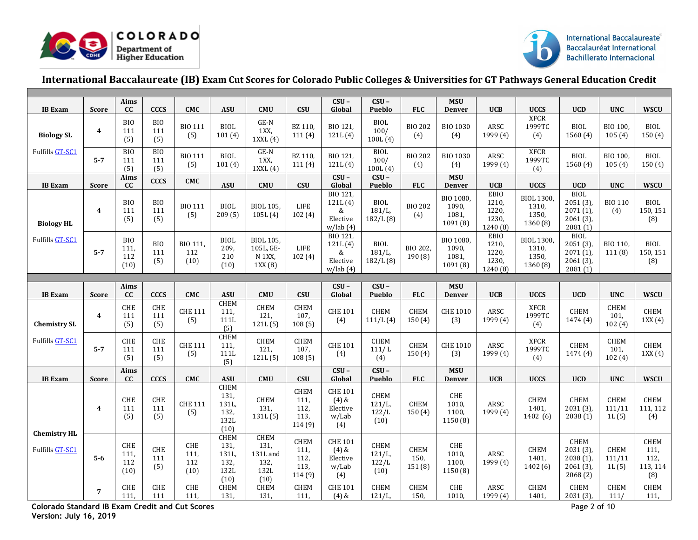



## **International Baccalaureate (IB) Exam Cut Scores for Colorado Public Colleges & Universities for GT Pathways General Education Credit**

|                                        |                         | Aims                                                |                               |                                        |                                                      |                                                         |                                               | $CSU -$                                               | $CSU -$                        |                         | <b>MSU</b>                                |                                                    |                                                 |                                                                     |                                             |                                         |
|----------------------------------------|-------------------------|-----------------------------------------------------|-------------------------------|----------------------------------------|------------------------------------------------------|---------------------------------------------------------|-----------------------------------------------|-------------------------------------------------------|--------------------------------|-------------------------|-------------------------------------------|----------------------------------------------------|-------------------------------------------------|---------------------------------------------------------------------|---------------------------------------------|-----------------------------------------|
| <b>IB</b> Exam                         | <b>Score</b>            | <b>CC</b>                                           | <b>CCCS</b>                   | <b>CMC</b>                             | <b>ASU</b>                                           | <b>CMU</b>                                              | <b>CSU</b>                                    | Global                                                | Pueblo                         | <b>FLC</b>              | <b>Denver</b>                             | <b>UCB</b>                                         | <b>UCCS</b>                                     | <b>UCD</b>                                                          | <b>UNC</b>                                  | <b>WSCU</b>                             |
| <b>Biology SL</b>                      | $\boldsymbol{4}$        | <b>BIO</b><br>111<br>(5)                            | <b>BIO</b><br>111<br>(5)      | <b>BIO 111</b><br>(5)                  | <b>BIOL</b><br>101(4)                                | $GE-N$<br>1XX,<br>1XXL(4)                               | BZ 110,<br>111(4)                             | BIO 121,<br>121L(4)                                   | <b>BIOL</b><br>100/<br>100L(4) | <b>BIO 202</b><br>(4)   | <b>BIO 1030</b><br>(4)                    | ARSC<br>1999 (4)                                   | <b>XFCR</b><br>1999TC<br>(4)                    | <b>BIOL</b><br>1560 (4)                                             | BIO 100<br>105(4)                           | <b>BIOL</b><br>150(4)                   |
| Fulfills GT-SC1                        | $5-7$                   | <b>BIO</b><br>111<br>(5)                            | BIO<br>111<br>(5)             | <b>BIO 111</b><br>(5)                  | <b>BIOL</b><br>101(4)                                | $GE-N$<br>1XX<br>$1$ XXL $(4)$                          | BZ 110,<br>111(4)                             | BIO 121,<br>121L(4)                                   | <b>BIOL</b><br>100/<br>100L(4) | <b>BIO 202</b><br>(4)   | <b>BIO 1030</b><br>(4)                    | ARSC<br>1999 (4)                                   | <b>XFCR</b><br>1999TC<br>(4)                    | <b>BIOL</b><br>1560(4)                                              | BIO 100.<br>105(4)                          | <b>BIOL</b><br>150(4)                   |
| <b>IB</b> Exam                         | <b>Score</b>            | Aims<br>cc                                          | <b>CCCS</b>                   | <b>CMC</b>                             | <b>ASU</b>                                           | <b>CMU</b>                                              | <b>CSU</b>                                    | $CSU -$<br>Global                                     | $CSU -$<br>Pueblo              | <b>FLC</b>              | <b>MSU</b><br><b>Denver</b>               | <b>UCB</b>                                         | <b>UCCS</b>                                     | <b>UCD</b>                                                          | <b>UNC</b>                                  | <b>WSCU</b>                             |
| <b>Biology HL</b>                      | $\overline{\mathbf{4}}$ | <b>BIO</b><br>111<br>(5)                            | <b>BIO</b><br>111<br>(5)      | <b>BIO 111</b><br>(5)                  | <b>BIOL</b><br>209(5)                                | BIOL 105.<br>105L(4)                                    | <b>LIFE</b><br>102(4)                         | BIO 121,<br>121L(4)<br>&<br>Elective<br>w/lab(4)      | BIOL<br>$181/L$ ,<br>182/L(8)  | <b>BIO 202</b><br>(4)   | BIO 1080.<br>1090.<br>1081,<br>1091 (8)   | <b>EBIO</b><br>1210,<br>1220,<br>1230,<br>1240 (8) | <b>BIOL 1300,</b><br>1310,<br>1350,<br>1360 (8) | <b>BIOL</b><br>$2051(3)$ ,<br>$2071(1)$ ,<br>$2061(3)$ ,<br>2081(1) | <b>BIO 110</b><br>(4)                       | <b>BIOL</b><br>150, 151<br>(8)          |
| Fulfills GT-SC1                        | $5 - 7$                 | <b>BIO</b><br>111.<br>112<br>(10)                   | BIO<br>111<br>(5)             | BIO 111,<br>112<br>(10)                | <b>BIOL</b><br>209,<br>210<br>(10)                   | <b>BIOL 105,</b><br>105L, GE-<br>$N$ 1XX,<br>1XX(8)     | <b>LIFE</b><br>102(4)                         | BIO 121,<br>121L(4)<br>&<br>Elective<br>w/lab(4)      | BIOL<br>$181/L$ ,<br>182/L(8)  | BIO 202,<br>190(8)      | BIO 1080,<br>1090,<br>1081,<br>1091(8)    | <b>EBIO</b><br>1210,<br>1220,<br>1230,<br>1240 (8) | BIOL 1300,<br>1310,<br>1350,<br>1360 (8)        | <b>BIOL</b><br>$2051(3)$ ,<br>$2071(1)$ ,<br>$2061(3)$ ,<br>2081(1) | BIO 110.<br>111(8)                          | BIOL<br>150, 151<br>(8)                 |
|                                        |                         |                                                     |                               |                                        |                                                      |                                                         |                                               |                                                       |                                |                         |                                           |                                                    |                                                 |                                                                     |                                             |                                         |
| <b>IB</b> Exam                         | <b>Score</b>            | Aims<br>cc                                          | <b>CCCS</b>                   | <b>CMC</b>                             | <b>ASU</b>                                           | <b>CMU</b>                                              | <b>CSU</b>                                    | $CSU -$<br>Global                                     | $CSU -$<br>Pueblo              | <b>FLC</b>              | <b>MSU</b><br><b>Denver</b>               | <b>UCB</b>                                         | <b>UCCS</b>                                     | <b>UCD</b>                                                          | <b>UNC</b>                                  | <b>WSCU</b>                             |
| <b>Chemistry SL</b>                    | $\overline{\mathbf{4}}$ | CHE<br>111<br>(5)                                   | ${\tt CHE}$<br>111<br>(5)     | <b>CHE 111</b><br>(5)                  | <b>CHEM</b><br>111,<br>111L<br>(5)                   | CHEM<br>121,<br>121L(5)                                 | CHEM<br>107,<br>108(5)                        | <b>CHE 101</b><br>(4)                                 | CHEM<br>111/L(4)               | <b>CHEM</b><br>150(4)   | <b>CHE 1010</b><br>(3)                    | ARSC<br>1999 (4)                                   | <b>XFCR</b><br>1999TC<br>(4)                    | CHEM<br>1474 (4)                                                    | CHEM<br>101,<br>102(4)                      | CHEM<br>1XX(4)                          |
| Fulfills GT-SC1                        | $5 - 7$                 | CHE<br>111<br>(5)                                   | ${\tt CHE}$<br>111<br>(5)     | <b>CHE 111</b><br>(5)                  | <b>CHEM</b><br>111.<br>111L<br>(5)                   | <b>CHEM</b><br>121,<br>121L(5)                          | CHEM<br>107,<br>108(5)                        | <b>CHE 101</b><br>(4)                                 | CHEM<br>111/L<br>(4)           | CHEM<br>150(4)          | <b>CHE 1010</b><br>(3)                    | ARSC<br>1999 (4)                                   | <b>XFCR</b><br>1999TC<br>(4)                    | CHEM<br>1474 (4)                                                    | CHEM<br>101,<br>102(4)                      | CHEM<br>1XX(4)                          |
| <b>IB</b> Exam                         | <b>Score</b>            | Aims<br>cc                                          | <b>CCCS</b>                   | <b>CMC</b>                             | <b>ASU</b>                                           | <b>CMU</b>                                              | <b>CSU</b>                                    | $CSU -$<br>Global                                     | $CSU -$<br><b>Pueblo</b>       | <b>FLC</b>              | <b>MSU</b><br><b>Denver</b>               | <b>UCB</b>                                         | <b>UCCS</b>                                     | <b>UCD</b>                                                          | <b>UNC</b>                                  | <b>WSCU</b>                             |
|                                        | $\overline{\mathbf{4}}$ | CHE<br>111<br>(5)                                   | CHE<br>111<br>(5)             | <b>CHE 111</b><br>(5)                  | <b>CHEM</b><br>131,<br>131L,<br>132,<br>132L<br>(10) | <b>CHEM</b><br>131,<br>131L(5)                          | <b>CHEM</b><br>111.<br>112,<br>113,<br>114(9) | <b>CHE 101</b><br>$(4)$ &<br>Elective<br>w/Lab<br>(4) | CHEM<br>121/L<br>122/L<br>(10) | CHEM<br>150(4)          | CHE<br>1010,<br>1100,<br>1150(8)          | ARSC<br>1999 (4)                                   | CHEM<br>1401.<br>1402 (6)                       | <b>CHEM</b><br>$2031(3)$ ,<br>2038(1)                               | <b>CHEM</b><br>111/11<br>1L(5)              | <b>CHEM</b><br>111, 112<br>(4)          |
| <b>Chemistry HL</b><br>Fulfills GT-SC1 | $5-6$                   | CHE<br>111.<br>112<br>(10)                          | CHE<br>111<br>(5)             | CHE<br>111.<br>112<br>(10)             | <b>CHEM</b><br>131,<br>131L<br>132.<br>132L<br>(10)  | <b>CHEM</b><br>131,<br>131L and<br>132,<br>132L<br>(10) | CHEM<br>111,<br>112,<br>113,<br>114(9)        | <b>CHE 101</b><br>$(4)$ &<br>Elective<br>w/Lab<br>(4) | CHEM<br>121/L<br>122/L<br>(10) | CHEM<br>150,<br>151 (8) | ${\rm CHE}$<br>1010.<br>1100.<br>1150 (8) | ARSC<br>1999 (4)                                   | CHEM<br>1401,<br>1402(6)                        | CHEM<br>$2031(3)$ ,<br>$2038(1)$ ,<br>$2061(3)$ ,<br>2068(2)        | CHEM<br>111/11<br>1L(5)                     | CHEM<br>111,<br>112,<br>113, 114<br>(8) |
|                                        | $\overline{7}$          | CHE<br>111,<br>$\cdots$<br>$\overline{\phantom{0}}$ | <b>CHE</b><br>111<br>$\cdots$ | CHE<br>111,<br>$\sim$ $\sim$<br>$\sim$ | <b>CHEM</b><br>131,                                  | <b>CHEM</b><br>131,                                     | <b>CHEM</b><br>111,                           | <b>CHE 101</b><br>$(4)$ &                             | <b>CHEM</b><br>121/L           | <b>CHEM</b><br>150,     | CHE<br>1010,                              | ARSC<br>1999 (4)                                   | <b>CHEM</b><br>1401,                            | <b>CHEM</b><br>2031 (3),<br>$\sim$                                  | <b>CHEM</b><br>111/<br>$\sim$ $\sim$ $\sim$ | <b>CHEM</b><br>111,                     |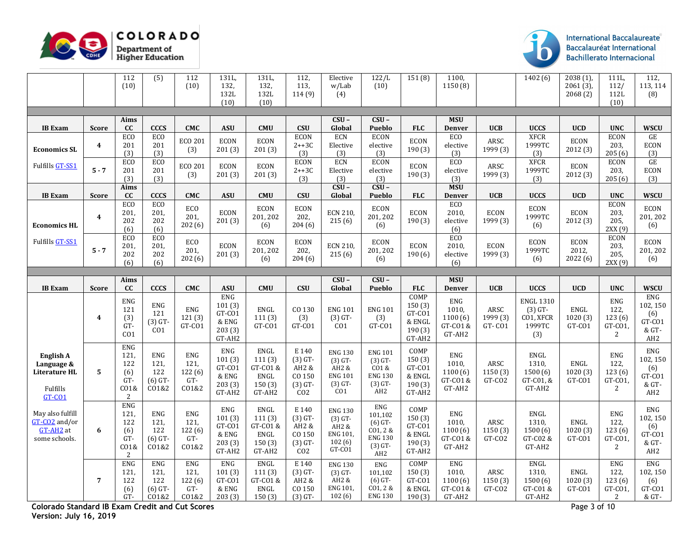



|                                                                   |                  | 112<br>(10)                                                         | $\overline{(5)}$                                | 112<br>(10)                                      | 131L,<br>132,<br>132L<br>(10)                                  | 131L,<br>132.<br>132L<br>(10)                                | 112,<br>113,<br>114(9)                                                | Elective<br>w/Lab<br>(4)                                                   | 122/L<br>(10)                                                                         | 151(8)                                                 | 1100,<br>1150 (8)                                    |                                        | 1402(6)                                                     | 2038(1)<br>$2061(3)$ ,<br>2068(2) | 111L,<br>112/<br>112L<br>(10)                             | 112,<br>113, 114<br>(8)                                                 |
|-------------------------------------------------------------------|------------------|---------------------------------------------------------------------|-------------------------------------------------|--------------------------------------------------|----------------------------------------------------------------|--------------------------------------------------------------|-----------------------------------------------------------------------|----------------------------------------------------------------------------|---------------------------------------------------------------------------------------|--------------------------------------------------------|------------------------------------------------------|----------------------------------------|-------------------------------------------------------------|-----------------------------------|-----------------------------------------------------------|-------------------------------------------------------------------------|
|                                                                   |                  |                                                                     |                                                 |                                                  |                                                                |                                                              |                                                                       |                                                                            |                                                                                       |                                                        |                                                      |                                        |                                                             |                                   |                                                           |                                                                         |
| <b>IB</b> Exam                                                    | <b>Score</b>     | Aims<br>cc                                                          | <b>CCCS</b>                                     | <b>CMC</b>                                       | <b>ASU</b>                                                     | <b>CMU</b>                                                   | <b>CSU</b>                                                            | $CSU -$<br>Global                                                          | $CSU -$<br>Pueblo                                                                     | <b>FLC</b>                                             | <b>MSU</b><br><b>Denver</b>                          | <b>UCB</b>                             | <b>UCCS</b>                                                 | <b>UCD</b>                        | <b>UNC</b>                                                | <b>WSCU</b>                                                             |
| <b>Economics SL</b>                                               | $\boldsymbol{4}$ | ECO<br>201<br>(3)                                                   | <b>ECO</b><br>201<br>(3)                        | <b>ECO 201</b><br>(3)                            | <b>ECON</b><br>201(3)                                          | <b>ECON</b><br>201(3)                                        | <b>ECON</b><br>$2++3C$<br>(3)                                         | ECN<br>Elective<br>(3)                                                     | <b>ECON</b><br>elective<br>(3)                                                        | <b>ECON</b><br>190(3)                                  | ECO<br>elective<br>(3)                               | ARSC<br>1999 (3)                       | <b>XFCR</b><br>1999TC<br>(3)                                | <b>ECON</b><br>2012(3)            | <b>ECON</b><br>203,<br>205(6)                             | GE<br><b>ECON</b><br>(3)                                                |
| Fulfills GT-SS1                                                   | $5 - 7$          | <b>ECO</b><br>201<br>(3)                                            | EC <sub>O</sub><br>201<br>(3)                   | <b>ECO 201</b><br>(3)                            | <b>ECON</b><br>201(3)                                          | <b>ECON</b><br>201(3)                                        | <b>ECON</b><br>$2++3C$<br>(3)                                         | ECN<br>Elective<br>(3)                                                     | <b>ECON</b><br>elective<br>(3)                                                        | <b>ECON</b><br>190(3)                                  | <b>ECO</b><br>elective<br>(3)                        | ARSC<br>1999 (3)                       | <b>XFCR</b><br>1999TC<br>(3)                                | ECON<br>2012 (3)                  | <b>ECON</b><br>203,<br>205(6)                             | GE<br><b>ECON</b><br>(3)                                                |
| <b>IB</b> Exam                                                    | <b>Score</b>     | Aims<br>cc                                                          | <b>CCCS</b>                                     | <b>CMC</b>                                       | <b>ASU</b>                                                     | <b>CMU</b>                                                   | <b>CSU</b>                                                            | $CSU -$<br>Global                                                          | $CSU -$<br>Pueblo                                                                     | <b>FLC</b>                                             | <b>MSU</b><br><b>Denver</b>                          | <b>UCB</b>                             | <b>UCCS</b>                                                 | <b>UCD</b>                        | <b>UNC</b>                                                | <b>WSCU</b>                                                             |
| <b>Economics HL</b>                                               | $\boldsymbol{4}$ | EC <sub>O</sub><br>201,<br>202<br>(6)                               | EC <sub>O</sub><br>201,<br>202<br>(6)           | ECO<br>201,<br>202(6)                            | <b>ECON</b><br>201(3)                                          | ECON<br>201, 202<br>(6)                                      | <b>ECON</b><br>202,<br>204(6)                                         | <b>ECN 210</b><br>215(6)                                                   | ECON<br>201, 202<br>(6)                                                               | <b>ECON</b><br>190(3)                                  | ECO<br>2010,<br>elective<br>(6)                      | <b>ECON</b><br>1999 (3)                | <b>ECON</b><br>1999TC<br>(6)                                | <b>ECON</b><br>2012 (3)           | <b>ECON</b><br>203,<br>205,<br>2XX(9)                     | ECON<br>201, 202<br>(6)                                                 |
| <b>Fulfills GT-SS1</b>                                            | $5 - 7$          | EC <sub>O</sub><br>201,<br>202<br>(6)                               | <b>ECO</b><br>201,<br>202<br>(6)                | ECO<br>201,<br>202(6)                            | <b>ECON</b><br>201(3)                                          | <b>ECON</b><br>201, 202<br>(6)                               | ECON<br>202,<br>204(6)                                                | <b>ECN 210.</b><br>215(6)                                                  | <b>ECON</b><br>201, 202<br>(6)                                                        | ECON<br>190(6)                                         | <b>ECO</b><br>2010.<br>elective<br>(6)               | <b>ECON</b><br>1999 (3)                | <b>ECON</b><br>1999TC<br>(6)                                | <b>ECON</b><br>2012,<br>2022 (6)  | <b>ECON</b><br>203.<br>205,<br>2XX (9)                    | <b>ECON</b><br>201, 202<br>(6)                                          |
|                                                                   |                  |                                                                     |                                                 |                                                  |                                                                |                                                              |                                                                       |                                                                            |                                                                                       |                                                        |                                                      |                                        |                                                             |                                   |                                                           |                                                                         |
| <b>IB</b> Exam                                                    | <b>Score</b>     | Aims<br>cc                                                          | <b>CCCS</b>                                     | <b>CMC</b>                                       | <b>ASU</b>                                                     | <b>CMU</b>                                                   | CSU                                                                   | $CSU -$<br>Global                                                          | $CSU -$<br>Pueblo                                                                     | <b>FLC</b>                                             | <b>MSU</b><br><b>Denver</b>                          | <b>UCB</b>                             | <b>UCCS</b>                                                 | <b>UCD</b>                        | <b>UNC</b>                                                | <b>WSCU</b>                                                             |
|                                                                   | $\boldsymbol{4}$ | <b>ENG</b><br>121<br>(3)<br>$GT-$<br>CO <sub>1</sub>                | ENG<br>121<br>$(3)$ GT-<br>CO1                  | ENG<br>121(3)<br>GT-CO1                          | <b>ENG</b><br>101(3)<br>GT-CO1<br>$\&$ ENG<br>203(3)<br>GT-AH2 | <b>ENGL</b><br>111(3)<br>GT-CO1                              | CO 130<br>(3)<br>GT-CO1                                               | <b>ENG 101</b><br>$(3)$ GT-<br>C <sub>01</sub>                             | <b>ENG 101</b><br>(3)<br>GT-CO1                                                       | COMP<br>150(3)<br>GT-CO1<br>& ENGL<br>190(3)<br>GT-AH2 | <b>ENG</b><br>1010.<br>1100(6)<br>GT-CO1 &<br>GT-AH2 | ARSC<br>1999 (3)<br>GT-CO1             | <b>ENGL 1310</b><br>$(3)$ GT-<br>CO1, XFCR<br>1999TC<br>(3) | ENGL<br>1020(3)<br>GT-CO1         | <b>ENG</b><br>122,<br>123(6)<br>GT-CO1,<br>2              | ENG<br>102, 150<br>(6)<br>GT-CO1<br>$\&$ GT-<br>AH <sub>2</sub>         |
| English A<br>Language &<br>Literature HL<br>Fulfills<br>$GT$ -CO1 | 5                | <b>ENG</b><br>121.<br>122<br>(6)<br>$GT-$<br>CO1&<br>$\overline{c}$ | <b>ENG</b><br>121,<br>122<br>$(6)$ GT-<br>CO1&2 | ${\rm ENG}$<br>121,<br>122 (6)<br>$GT-$<br>CO1&2 | ENG<br>101(3)<br>GT-CO1<br>& ENG<br>203(3)<br>GT-AH2           | <b>ENGL</b><br>111(3)<br>GT-CO1&<br>ENGL<br>150(3)<br>GT-AH2 | E 140<br>$(3)$ GT-<br>AH2 &<br>CO 150<br>$(3)$ GT-<br>CO <sub>2</sub> | <b>ENG 130</b><br>$(3)$ GT-<br>AH2 &<br><b>ENG 101</b><br>$(3)$ GT-<br>CO1 | <b>ENG 101</b><br>$(3)$ GT-<br>CO1&<br><b>ENG 130</b><br>$(3)$ GT-<br>AH <sub>2</sub> | COMP<br>150(3)<br>GT-CO1<br>& ENGL<br>190(3)<br>GT-AH2 | <b>ENG</b><br>1010.<br>1100(6)<br>GT-CO1&<br>GT-AH2  | ARSC<br>1150 (3)<br>GT-CO <sub>2</sub> | ENGL<br>1310.<br>1500(6)<br>GT-C01, &<br>GT-AH2             | ENGL<br>1020 (3)<br>GT-CO1        | <b>ENG</b><br>122.<br>123(6)<br>GT-CO1<br>2               | ${\rm ENG}$<br>102, 150<br>(6)<br>GT-CO1<br>$\&$ GT-<br>AH <sub>2</sub> |
| May also fulfill<br>GT-CO2 and/or<br>GT-AH2 at<br>some schools.   | 6                | <b>ENG</b><br>121,<br>122<br>(6)<br>GT-<br>CO1&<br>$\overline{c}$   | <b>ENG</b><br>121,<br>122<br>$(6)$ GT-<br>CO1&2 | ENG<br>121.<br>122(6)<br>GT-<br>CO1&2            | <b>ENG</b><br>101(3)<br>GT-CO1<br>& ENG<br>203(3)<br>GT-AH2    | <b>ENGL</b><br>111(3)<br>GT-CO1&<br>ENGL<br>150(3)<br>GT-AH2 | E 140<br>$(3)$ GT-<br>AH2 &<br>CO 150<br>$(3)$ GT-<br>CO <sub>2</sub> | <b>ENG 130</b><br>$(3)$ GT-<br>AH2 &<br><b>ENG 101</b><br>102(6)<br>GT-CO1 | ENG<br>101,102<br>$(6)$ GT-<br>CO1, 2 &<br><b>ENG 130</b><br>$(3)$ GT-<br>AH2         | COMP<br>150(3)<br>GT-CO1<br>& ENGL<br>190(3)<br>GT-AH2 | ENG<br>1010.<br>1100(6)<br>GT-CO1 &<br>GT-AH2        | ARSC<br>1150 (3)<br>GT-CO <sub>2</sub> | ${\tt ENGL}$<br>1310.<br>1500(6)<br>GT-C02 &<br>GT-AH2      | ENGL<br>1020(3)<br>GT-CO1         | <b>ENG</b><br>122.<br>123(6)<br>GT-CO1<br>2               | ENG<br>102, 150<br>(6)<br>GT-CO1<br>$\&$ GT-<br>AH <sub>2</sub>         |
|                                                                   | $\overline{7}$   | <b>ENG</b><br>121,<br>122<br>(6)<br>GT-                             | <b>ENG</b><br>121,<br>122<br>$(6)$ GT-<br>CO1&2 | <b>ENG</b><br>121,<br>122(6)<br>GT-<br>CO1&2     | ENG<br>101(3)<br>GT-CO1<br>& ENG<br>203(3)                     | ENGL<br>111(3)<br>GT-CO1&<br>ENGL<br>150(3)                  | E 140<br>$(3)$ GT-<br>$AH2$ &<br>CO 150<br>$(3)$ GT-                  | <b>ENG 130</b><br>$(3)$ GT-<br>AH2 &<br>ENG 101<br>102(6)                  | <b>ENG</b><br>101,102<br>$(6)$ GT-<br>CO1, 2 &<br><b>ENG 130</b>                      | COMP<br>150(3)<br>GT-CO1<br>& ENGL<br>190(3)           | ENG<br>1010.<br>1100(6)<br>GT-CO1 &<br>GT-AH2        | ARSC<br>1150(3)<br>GT-CO2              | ENGL<br>1310,<br>1500(6)<br>GT-C01 &<br>GT-AH2              | ENGL<br>1020(3)<br>GT-CO1         | <b>ENG</b><br>122,<br>123(6)<br>GT-CO1,<br>$\overline{2}$ | ENG<br>102, 150<br>(6)<br>GT-CO1<br>& GT-                               |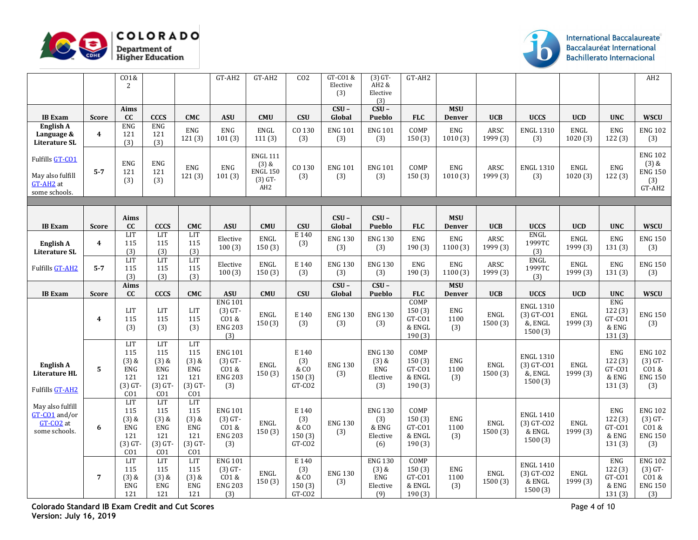



|                                                                   |                         | CO1&<br>$\overline{c}$                                                     |                                                                           |                                                                            | $GT-AH2$                                                        | GT-AH2                                                                        | CO <sub>2</sub>                                                    | GT-CO1 &<br>Elective<br>(3) | $(3)$ GT-<br>AH2 &<br>Elective<br>(3)                       | GT-AH2                                             |                             |                  |                                                        |                  |                                                    | AH2                                                            |
|-------------------------------------------------------------------|-------------------------|----------------------------------------------------------------------------|---------------------------------------------------------------------------|----------------------------------------------------------------------------|-----------------------------------------------------------------|-------------------------------------------------------------------------------|--------------------------------------------------------------------|-----------------------------|-------------------------------------------------------------|----------------------------------------------------|-----------------------------|------------------|--------------------------------------------------------|------------------|----------------------------------------------------|----------------------------------------------------------------|
| <b>IB</b> Exam                                                    | <b>Score</b>            | Aims<br>cc                                                                 | <b>CCCS</b>                                                               | <b>CMC</b>                                                                 | <b>ASU</b>                                                      | <b>CMU</b>                                                                    | <b>CSU</b>                                                         | $CSU -$<br>Global           | $CSU -$<br>Pueblo                                           | <b>FLC</b>                                         | <b>MSU</b><br><b>Denver</b> | <b>UCB</b>       | <b>UCCS</b>                                            | <b>UCD</b>       | <b>UNC</b>                                         | <b>WSCU</b>                                                    |
| English A<br>Language &<br><b>Literature SL</b>                   | $\overline{4}$          | <b>ENG</b><br>121<br>(3)                                                   | <b>ENG</b><br>121<br>(3)                                                  | <b>ENG</b><br>121(3)                                                       | <b>ENG</b><br>101(3)                                            | <b>ENGL</b><br>111(3)                                                         | CO 130<br>(3)                                                      | <b>ENG 101</b><br>(3)       | <b>ENG 101</b><br>(3)                                       | COMP<br>150(3)                                     | ENG<br>1010(3)              | ARSC<br>1999 (3) | <b>ENGL 1310</b><br>(3)                                | ENGL<br>1020(3)  | <b>ENG</b><br>122(3)                               | <b>ENG 102</b><br>(3)                                          |
| Fulfills GT-CO1<br>May also fulfill<br>GT-AH2 at<br>some schools. | $5 - 7$                 | <b>ENG</b><br>121<br>(3)                                                   | ENG<br>121<br>(3)                                                         | <b>ENG</b><br>121(3)                                                       | <b>ENG</b><br>101(3)                                            | <b>ENGL 111</b><br>$(3)$ &<br><b>ENGL 150</b><br>$(3)$ GT-<br>AH <sub>2</sub> | CO 130<br>(3)                                                      | <b>ENG 101</b><br>(3)       | <b>ENG 101</b><br>(3)                                       | COMP<br>150(3)                                     | <b>ENG</b><br>1010(3)       | ARSC<br>1999 (3) | <b>ENGL 1310</b><br>(3)                                | ENGL<br>1020(3)  | <b>ENG</b><br>122(3)                               | <b>ENG 102</b><br>$(3)$ &<br><b>ENG 150</b><br>(3)<br>$GT-ÁH2$ |
|                                                                   |                         |                                                                            |                                                                           |                                                                            |                                                                 |                                                                               |                                                                    |                             |                                                             |                                                    |                             |                  |                                                        |                  |                                                    |                                                                |
| <b>IB</b> Exam                                                    | <b>Score</b>            | Aims<br>cc                                                                 | <b>CCCS</b>                                                               | <b>CMC</b>                                                                 | <b>ASU</b>                                                      | <b>CMU</b>                                                                    | <b>CSU</b>                                                         | $CSU -$<br>Global           | $CSU -$<br>Pueblo                                           | <b>FLC</b>                                         | <b>MSU</b><br><b>Denver</b> | <b>UCB</b>       | <b>UCCS</b>                                            | <b>UCD</b>       | <b>UNC</b>                                         | <b>WSCU</b>                                                    |
| English A<br><b>Literature SL</b>                                 | $\overline{\mathbf{4}}$ | LIT<br>115<br>(3)                                                          | LIT<br>115<br>(3)                                                         | LIT<br>115<br>(3)                                                          | Elective<br>100(3)                                              | ENGL<br>150(3)                                                                | E 140<br>(3)                                                       | <b>ENG 130</b><br>(3)       | <b>ENG 130</b><br>(3)                                       | ${\rm ENG}$<br>190(3)                              | ENG<br>1100(3)              | ARSC<br>1999 (3) | ENGL<br>1999TC<br>(3)                                  | ENGL<br>1999 (3) | <b>ENG</b><br>131(3)                               | <b>ENG 150</b><br>(3)                                          |
| Fulfills GT-AH2                                                   | $5 - 7$                 | <b>LIT</b><br>115<br>(3)                                                   | <b>LIT</b><br>115<br>(3)                                                  | LIT<br>115<br>(3)                                                          | Elective<br>100(3)                                              | ENGL<br>150(3)                                                                | E 140<br>(3)                                                       | <b>ENG 130</b><br>(3)       | <b>ENG 130</b><br>(3)                                       | <b>ENG</b><br>190(3)                               | <b>ENG</b><br>1100(3)       | ARSC<br>1999 (3) | <b>ENGL</b><br>1999TC<br>(3)                           | ENGL<br>1999 (3) | ENG<br>131(3)                                      | <b>ENG 150</b><br>(3)                                          |
| <b>IB</b> Exam                                                    | <b>Score</b>            | Aims<br>cc                                                                 | <b>CCCS</b>                                                               | <b>CMC</b>                                                                 | <b>ASU</b>                                                      | <b>CMU</b>                                                                    | <b>CSU</b>                                                         | $CSU -$<br>Global           | $CSU -$<br>Pueblo                                           | <b>FLC</b>                                         | <b>MSU</b><br><b>Denver</b> | <b>UCB</b>       | <b>UCCS</b>                                            | <b>UCD</b>       | <b>UNC</b>                                         | <b>WSCU</b>                                                    |
|                                                                   | $\boldsymbol{4}$        | LIT<br>115<br>(3)                                                          | <b>LIT</b><br>115<br>(3)                                                  | LIT<br>115<br>(3)                                                          | <b>ENG 101</b><br>$(3)$ GT-<br>CO1&<br><b>ENG 203</b><br>(3)    | ENGL<br>150(3)                                                                | E 140<br>(3)                                                       | <b>ENG 130</b><br>(3)       | <b>ENG 130</b><br>(3)                                       | COMP<br>150(3)<br>$GT$ - $CO1$<br>& ENGL<br>190(3) | <b>ENG</b><br>1100<br>(3)   | ENGL<br>1500(3)  | <b>ENGL 1310</b><br>$(3)$ GT-CO1<br>&, ENGL<br>1500(3) | ENGL<br>1999 (3) | ENG<br>122(3)<br>$GT$ - $CO1$<br>& ENG<br>131(3)   | <b>ENG 150</b><br>(3)                                          |
| English A<br><b>Literature HL</b><br>Fulfills GT-AH2              | 5                       | LIT<br>115<br>$(3)$ &<br>ENG<br>121<br>$(3)$ GT-<br>CO <sub>1</sub>        | <b>LIT</b><br>115<br>$(3)$ &<br>ENG<br>121<br>$(3)$ GT<br>CO <sub>1</sub> | <b>LIT</b><br>115<br>$(3)$ &<br>ENG<br>121<br>$(3)$ GT-<br>CO <sub>1</sub> | <b>ENG 101</b><br>$(3)$ GT-<br>CO1&<br><b>ENG 203</b><br>(3)    | ENGL<br>150(3)                                                                | E 140<br>(3)<br>$\overline{\&}$ CO<br>150(3)<br>GT-CO <sub>2</sub> | <b>ENG 130</b><br>(3)       | <b>ENG 130</b><br>$(3)$ &<br>ENG<br>${\rm Electric}$<br>(3) | COMP<br>150(3)<br>GT-CO1<br>& ENGL<br>190(3)       | <b>ENG</b><br>1100<br>(3)   | ENGL<br>1500(3)  | <b>ENGL 1310</b><br>$(3)$ GT-CO1<br>&, ENGL<br>1500(3) | ENGL<br>1999 (3) | <b>ENG</b><br>122(3)<br>GT-CO1<br>& ENG<br>131(3)  | <b>ENG 102</b><br>$(3)$ GT-<br>CO1&<br><b>ENG 150</b><br>(3)   |
| May also fulfill<br>GT-CO1 and/or<br>GT-CO2 at<br>some schools.   | 6                       | <b>LIT</b><br>115<br>$(3)$ &<br>ENG<br>121<br>$(3)$ GT-<br>CO <sub>1</sub> | LIT<br>115<br>$(3)$ &<br>ENG<br>121<br>$(3)$ GT<br>CO <sub>1</sub>        | <b>LIT</b><br>115<br>$(3)$ &<br>ENG<br>121<br>$(3)$ GT-<br>CO <sub>1</sub> | <b>ENG 101</b><br>$(3)$ GT-<br>$CO1$ &<br><b>ENG 203</b><br>(3) | ENGL<br>150(3)                                                                | E 140<br>(3)<br>& 0<br>150(3)<br>GT-CO <sub>2</sub>                | <b>ENG 130</b><br>(3)       | <b>ENG 130</b><br>(3)<br>& ENG<br>Elective<br>(6)           | COMP<br>150(3)<br>$GT$ - $CO1$<br>& ENGL<br>190(3) | <b>ENG</b><br>1100<br>(3)   | ENGL<br>1500(3)  | <b>ENGL 1410</b><br>$(3)$ GT-CO2<br>& ENGL<br>1500(3)  | ENGL<br>1999 (3) | ${\rm ENG}$<br>122(3)<br>GT-CO1<br>& ENG<br>131(3) | <b>ENG 102</b><br>$(3)$ GT-<br>CO1 &<br><b>ENG 150</b><br>(3)  |
|                                                                   | $\overline{7}$          | <b>LIT</b><br>115<br>$(3)$ &<br><b>ENG</b><br>121                          | <b>LIT</b><br>115<br>$(3)$ &<br>ENG<br>121                                | <b>LIT</b><br>115<br>$(3)$ &<br><b>ENG</b><br>121                          | <b>ENG 101</b><br>$(3)$ GT-<br>CO1&<br><b>ENG 203</b><br>(3)    | ENGL<br>150(3)                                                                | E 140<br>(3)<br>& 0<br>150(3)<br>GT-CO <sub>2</sub>                | <b>ENG 130</b><br>(3)       | <b>ENG 130</b><br>$(3)$ &<br>ENG<br>Elective<br>(9)         | COMP<br>150(3)<br>GT-CO1<br>& ENGL<br>190(3)       | <b>ENG</b><br>1100<br>(3)   | ENGL<br>1500(3)  | <b>ENGL 1410</b><br>$(3)$ GT-CO2<br>& ENGL<br>1500(3)  | ENGL<br>1999 (3) | <b>ENG</b><br>122(3)<br>GT-CO1<br>& ENG<br>131(3)  | <b>ENG 102</b><br>$(3)$ GT-<br>CO1&<br><b>ENG 150</b><br>(3)   |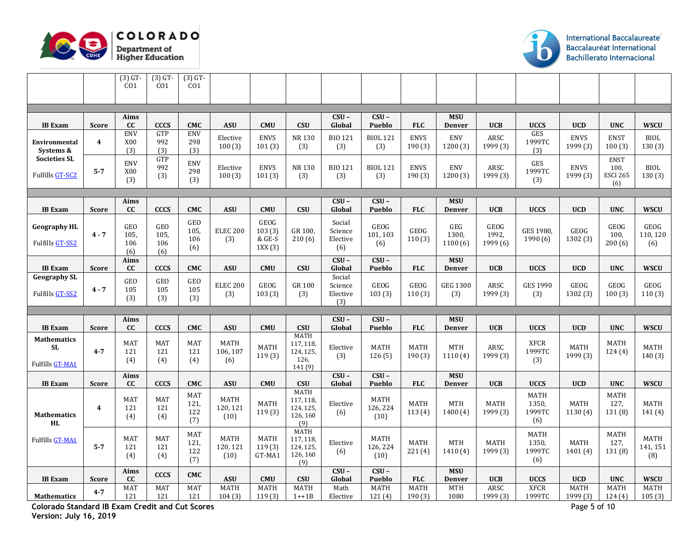



|                                             |                         | $(3)$ GT-<br>CO1                 | $(3)$ GT-<br>CO <sub>1</sub> | $(3)$ GT-<br>CO1            |                                 |                                    |                                                          |                                      |                                 |                       |                             |                                  |                                              |                         |                                               |                         |
|---------------------------------------------|-------------------------|----------------------------------|------------------------------|-----------------------------|---------------------------------|------------------------------------|----------------------------------------------------------|--------------------------------------|---------------------------------|-----------------------|-----------------------------|----------------------------------|----------------------------------------------|-------------------------|-----------------------------------------------|-------------------------|
|                                             |                         |                                  |                              |                             |                                 |                                    |                                                          |                                      |                                 |                       |                             |                                  |                                              |                         |                                               |                         |
|                                             |                         | Aims                             |                              |                             |                                 |                                    |                                                          | $CSU -$                              | $CSU -$                         |                       | <b>MSU</b>                  |                                  |                                              |                         |                                               |                         |
| <b>IB</b> Exam                              | <b>Score</b>            | cc                               | <b>CCCS</b>                  | <b>CMC</b>                  | <b>ASU</b>                      | <b>CMU</b>                         | <b>CSU</b>                                               | Global                               | Pueblo                          | <b>FLC</b>            | <b>Denver</b>               | <b>UCB</b>                       | <b>UCCS</b>                                  | <b>UCD</b>              | <b>UNC</b>                                    | <b>WSCU</b>             |
| Environmental<br>Systems &                  | $\overline{\mathbf{4}}$ | ENV<br>X00<br>(3)                | GTP<br>992<br>(3)            | ENV<br>298<br>(3)           | Elective<br>100(3)              | <b>ENVS</b><br>101(3)              | NR 130<br>(3)                                            | <b>BIO 121</b><br>(3)                | <b>BIOL 121</b><br>(3)          | <b>ENVS</b><br>190(3) | <b>ENV</b><br>1200(3)       | ARSC<br>1999 (3)                 | GES<br>1999TC<br>(3)                         | <b>ENVS</b><br>1999 (3) | <b>ENST</b><br>100(3)                         | BIOL<br>130(3)          |
| <b>Societies SL</b><br>Fulfills GT-SC2      | $5 - 7$                 | <b>ENV</b><br>X00<br>(3)         | GTP<br>992<br>(3)            | <b>ENV</b><br>298<br>(3)    | Elective<br>100(3)              | <b>ENVS</b><br>101(3)              | NR 130<br>(3)                                            | <b>BIO 121</b><br>(3)                | <b>BIOL 121</b><br>(3)          | <b>ENVS</b><br>190(3) | ENV<br>1200(3)              | ARSC<br>1999 (3)                 | $\ensuremath{\mathsf{GES}}$<br>1999TC<br>(3) | <b>ENVS</b><br>1999 (3) | <b>ENST</b><br>100.<br><b>ESCI 265</b><br>(6) | <b>BIOL</b><br>130(3)   |
|                                             |                         |                                  |                              |                             |                                 |                                    |                                                          |                                      |                                 |                       |                             |                                  |                                              |                         |                                               |                         |
| <b>IB</b> Exam                              | <b>Score</b>            | Aims<br><b>CC</b>                | <b>CCCS</b>                  | <b>CMC</b>                  | <b>ASU</b>                      | <b>CMU</b>                         | <b>CSU</b>                                               | $CSU -$<br>Global                    | $CSU -$<br>Pueblo               | <b>FLC</b>            | <b>MSU</b><br><b>Denver</b> | <b>UCB</b>                       | <b>UCCS</b>                                  | <b>UCD</b>              | <b>UNC</b>                                    | <b>WSCU</b>             |
| <b>Geography HL</b><br>Fulfills GT-SS2      | $4 - 7$                 | <b>GEO</b><br>105,<br>106<br>(6) | GEO<br>105,<br>106<br>(6)    | GEO<br>105,<br>106<br>(6)   | <b>ELEC 200</b><br>(3)          | GEOG<br>103(3)<br>& GE-S<br>1XX(3) | GR 100,<br>210(6)                                        | Social<br>Science<br>Elective<br>(6) | GEOG<br>101, 103<br>(6)         | <b>GEOG</b><br>110(3) | GEG<br>1300,<br>1100(6)     | <b>GEOG</b><br>1992,<br>1999 (6) | GES 1980,<br>1990 (6)                        | GEOG<br>1302 (3)        | GEOG<br>100,<br>200(6)                        | GEOG<br>110, 120<br>(6) |
| <b>IB</b> Exam                              | <b>Score</b>            | Aims<br>cc                       | CCCS                         | <b>CMC</b>                  | <b>ASU</b>                      | <b>CMU</b>                         | <b>CSU</b>                                               | $CSU -$<br>Global                    | $CSU -$<br>Pueblo               | <b>FLC</b>            | <b>MSU</b><br>Denver        | <b>UCB</b>                       | <b>UCCS</b>                                  | <b>UCD</b>              | <b>UNC</b>                                    | <b>WSCU</b>             |
| <b>Geography SL</b><br>Fulfills GT-SS2      | $4 - 7$                 | <b>GEO</b><br>105<br>(3)         | GEO<br>105<br>(3)            | $\,$ GEO $\,$<br>105<br>(3) | <b>ELEC 200</b><br>(3)          | GEOG<br>103(3)                     | GR 100<br>(3)                                            | Social<br>Science<br>Elective<br>(3) | GEOG<br>103(3)                  | <b>GEOG</b><br>110(3) | <b>GEG 1300</b><br>(3)      | ARSC<br>1999 (3)                 | <b>GES 1990</b><br>(3)                       | GEOG<br>1302 (3)        | GEOG<br>100(3)                                | GEOG<br>110(3)          |
|                                             |                         |                                  |                              |                             |                                 |                                    |                                                          |                                      |                                 |                       |                             |                                  |                                              |                         |                                               |                         |
| <b>IB</b> Exam                              | <b>Score</b>            | Aims<br>cc                       | <b>CCCS</b>                  | <b>CMC</b>                  | <b>ASU</b>                      | <b>CMU</b>                         | CSU                                                      | $CSU -$<br>Global                    | $CSU -$<br>Pueblo               | <b>FLC</b>            | <b>MSU</b><br><b>Denver</b> | <b>UCB</b>                       | <b>UCCS</b>                                  | <b>UCD</b>              | <b>UNC</b>                                    | <b>WSCU</b>             |
| <b>Mathematics</b><br>SL<br>Fulfills GT-MA1 | $4 - 7$                 | <b>MAT</b><br>121<br>(4)         | <b>MAT</b><br>121<br>(4)     | <b>MAT</b><br>121<br>(4)    | <b>MATH</b><br>106, 107<br>(6)  | <b>MATH</b><br>119(3)              | <b>MATH</b><br>117, 118,<br>124, 125,<br>126,<br>141 (9) | Elective<br>(3)                      | <b>MATH</b><br>126(5)           | <b>MATH</b><br>190(3) | <b>MTH</b><br>1110(4)       | ARSC<br>1999 (3)                 | <b>XFCR</b><br>1999TC<br>(3)                 | MATH<br>1999 (3)        | <b>MATH</b><br>124(4)                         | MATH<br>140(3)          |
| <b>IB</b> Exam                              | <b>Score</b>            | Aims<br>cc                       | CCCS                         | <b>CMC</b>                  | <b>ASU</b>                      | <b>CMU</b>                         | <b>CSU</b>                                               | $CSU -$<br>Global                    | $CSU -$<br><b>Pueblo</b>        | <b>FLC</b>            | <b>MSU</b><br><b>Denver</b> | <b>UCB</b>                       | <b>UCCS</b>                                  | <b>UCD</b>              | <b>UNC</b>                                    | <b>WSCU</b>             |
| <b>Mathematics</b><br><b>HL</b>             | 4                       | MAT<br>121<br>(4)                | MAT<br>121<br>(4)            | MAT<br>121,<br>122<br>(7)   | <b>MATH</b><br>120, 121<br>(10) | <b>MATH</b><br>119(3)              | <b>MATH</b><br>117, 118,<br>124, 125,<br>126, 160<br>(9) | Elective<br>(6)                      | <b>MATH</b><br>126, 224<br>(10) | <b>MATH</b><br>113(4) | <b>MTH</b><br>1400(4)       | MATH<br>1999 (3)                 | <b>MATH</b><br>1350,<br>1999TC<br>(6)        | <b>MATH</b><br>1130 (4) | MATH<br>127,<br>131 (8)                       | MATH<br>141(4)          |
| Fulfills GT-MA1                             | $5 - 7$                 | <b>MAT</b><br>121<br>(4)         | <b>MAT</b><br>121<br>(4)     | MAT<br>121,<br>122<br>(7)   | <b>MATH</b><br>120, 121<br>(10) | <b>MATH</b><br>119(3)<br>GT-MA1    | <b>MATH</b><br>117, 118,<br>124, 125,<br>126, 160<br>(9) | Elective<br>(6)                      | <b>MATH</b><br>126, 224<br>(10) | <b>MATH</b><br>221(4) | <b>MTH</b><br>1410(4)       | MATH<br>1999 (3)                 | <b>MATH</b><br>1350,<br>1999TC<br>(6)        | MATH<br>1401 (4)        | <b>MATH</b><br>127.<br>131 (8)                | MATH<br>141, 151<br>(8) |
| <b>IB</b> Exam                              | <b>Score</b>            | Aims<br>cc                       | CCCS                         | <b>CMC</b>                  | <b>ASU</b>                      | <b>CMU</b>                         | <b>CSU</b>                                               | $CSU -$<br>Global                    | $CSU -$<br>Pueblo               | <b>FLC</b>            | <b>MSU</b><br><b>Denver</b> | <b>UCB</b>                       | <b>UCCS</b>                                  | <b>UCD</b>              | <b>UNC</b>                                    | <b>WSCU</b>             |
| <b>Mathematics</b>                          | $4 - 7$                 | <b>MAT</b><br>121                | <b>MAT</b><br>121            | <b>MAT</b><br>121           | <b>MATH</b><br>104(3)           | <b>MATH</b><br>119(3)              | <b>MATH</b><br>$1 + 1B$                                  | Math<br>Elective                     | <b>MATH</b><br>121(4)           | <b>MATH</b><br>190(3) | <b>MTH</b><br>1080          | ARSC<br>1999 (3)                 | <b>XFCR</b><br>1999TC                        | <b>MATH</b><br>1999 (3) | <b>MATH</b><br>124 (4)                        | <b>MATH</b><br>105(3)   |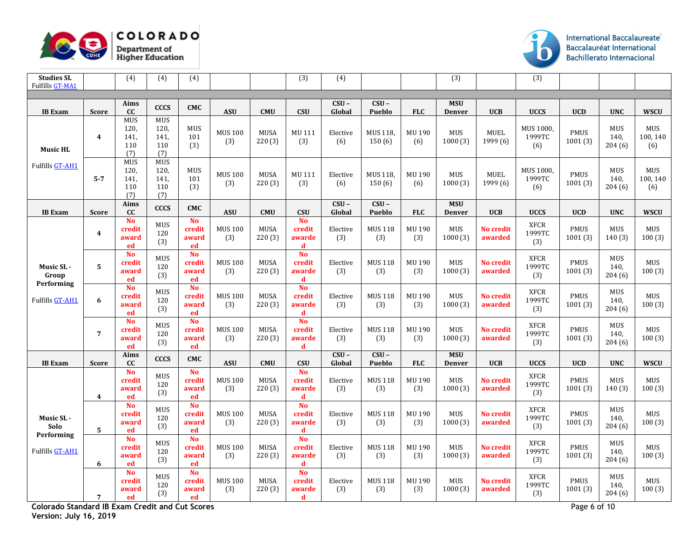



| <b>Studies SL</b><br><b>Fulfills GT-MA1</b> |                         | (4)                                      | (4)                                      | (4)                                |                       |                       | (3)                                | (4)               |                          |               | (3)                         |                             | (3)                          |                        |                              |                               |
|---------------------------------------------|-------------------------|------------------------------------------|------------------------------------------|------------------------------------|-----------------------|-----------------------|------------------------------------|-------------------|--------------------------|---------------|-----------------------------|-----------------------------|------------------------------|------------------------|------------------------------|-------------------------------|
|                                             |                         |                                          |                                          |                                    |                       |                       |                                    |                   |                          |               |                             |                             |                              |                        |                              |                               |
| <b>IB</b> Exam                              | <b>Score</b>            | Aims<br>cc                               | <b>CCCS</b>                              | <b>CMC</b>                         | <b>ASU</b>            | <b>CMU</b>            | <b>CSU</b>                         | $CSU -$<br>Global | $CSU -$<br>Pueblo        | <b>FLC</b>    | <b>MSU</b><br><b>Denver</b> | <b>UCB</b>                  | <b>UCCS</b>                  | <b>UCD</b>             | <b>UNC</b>                   | <b>WSCU</b>                   |
| <b>Music HL</b>                             | $\overline{\mathbf{4}}$ | <b>MUS</b><br>120,<br>141<br>110<br>(7)  | <b>MUS</b><br>120,<br>141,<br>110<br>(7) | <b>MUS</b><br>101<br>(3)           | <b>MUS 100</b><br>(3) | <b>MUSA</b><br>220(3) | MU 111<br>(3)                      | Elective<br>(6)   | MUS 118,<br>150(6)       | MU 190<br>(6) | <b>MUS</b><br>1000(3)       | MUEL<br>1999 (6)            | MUS 1000,<br>1999TC<br>(6)   | <b>PMUS</b><br>1001(3) | <b>MUS</b><br>140.<br>204(6) | <b>MUS</b><br>100, 140<br>(6) |
| Fulfills GT-AH1                             | $5 - 7$                 | <b>MUS</b><br>120,<br>141,<br>110<br>(7) | <b>MUS</b><br>120.<br>141,<br>110<br>(7) | MUS<br>101<br>(3)                  | <b>MUS 100</b><br>(3) | <b>MUSA</b><br>220(3) | MU 111<br>(3)                      | Elective<br>(6)   | MUS 118,<br>150(6)       | MU 190<br>(6) | MUS<br>1000(3)              | <b>MUEL</b><br>1999 (6)     | MUS 1000,<br>1999TC<br>(6)   | <b>PMUS</b><br>1001(3) | <b>MUS</b><br>140,<br>204(6) | MUS<br>100, 140<br>(6)        |
| <b>IB</b> Exam                              | <b>Score</b>            | Aims<br>cc                               | <b>CCCS</b>                              | <b>CMC</b>                         | <b>ASU</b>            | <b>CMU</b>            | <b>CSU</b>                         | $CSU -$<br>Global | $CSU -$<br><b>Pueblo</b> | <b>FLC</b>    | <b>MSU</b><br><b>Denver</b> | <b>UCB</b>                  | <b>UCCS</b>                  | <b>UCD</b>             | <b>UNC</b>                   | <b>WSCU</b>                   |
|                                             | $\boldsymbol{4}$        | <b>No</b><br>credit<br>award<br>ed       | <b>MUS</b><br>120<br>(3)                 | <b>No</b><br>credit<br>award<br>ed | <b>MUS 100</b><br>(3) | <b>MUSA</b><br>220(3) | <b>No</b><br>credit<br>awarde<br>d | Elective<br>(3)   | <b>MUS 118</b><br>(3)    | MU 190<br>(3) | <b>MUS</b><br>1000(3)       | <b>No credit</b><br>awarded | <b>XFCR</b><br>1999TC<br>(3) | <b>PMUS</b><br>1001(3) | <b>MUS</b><br>140(3)         | MUS<br>100(3)                 |
| Music SL -<br>Group<br>Performing           | 5                       | <b>No</b><br>credit<br>award<br>ed       | MUS<br>120<br>(3)                        | <b>No</b><br>credit<br>award<br>ed | <b>MUS 100</b><br>(3) | <b>MUSA</b><br>220(3) | <b>No</b><br>credit<br>awarde<br>d | Elective<br>(3)   | <b>MUS 118</b><br>(3)    | MU 190<br>(3) | MUS<br>1000(3)              | <b>No credit</b><br>awarded | <b>XFCR</b><br>1999TC<br>(3) | PMUS<br>1001(3)        | MUS<br>140,<br>204(6)        | MUS<br>100(3)                 |
| <b>Fulfills GT-AH1</b>                      | 6                       | <b>No</b><br>credit<br>award<br>ed       | <b>MUS</b><br>120<br>(3)                 | <b>No</b><br>credit<br>award<br>ed | <b>MUS 100</b><br>(3) | <b>MUSA</b><br>220(3) | <b>No</b><br>credit<br>awarde<br>d | Elective<br>(3)   | <b>MUS 118</b><br>(3)    | MU 190<br>(3) | <b>MUS</b><br>1000(3)       | <b>No credit</b><br>awarded | <b>XFCR</b><br>1999TC<br>(3) | PMUS<br>1001(3)        | <b>MUS</b><br>140,<br>204(6) | MUS<br>100(3)                 |
|                                             | $\overline{7}$          | <b>No</b><br>credit<br>award<br>ed       | MUS<br>120<br>(3)                        | <b>No</b><br>credit<br>award<br>ed | <b>MUS 100</b><br>(3) | <b>MUSA</b><br>220(3) | No<br>credit<br>awarde<br>d        | Elective<br>(3)   | <b>MUS 118</b><br>(3)    | MU 190<br>(3) | MUS<br>1000(3)              | <b>No credit</b><br>awarded | <b>XFCR</b><br>1999TC<br>(3) | <b>PMUS</b><br>1001(3) | <b>MUS</b><br>140.<br>204(6) | MUS<br>100(3)                 |
| <b>IB</b> Exam                              | <b>Score</b>            | Aims<br>cc                               | <b>CCCS</b>                              | <b>CMC</b>                         | <b>ASU</b>            | <b>CMU</b>            | <b>CSU</b>                         | $CSU -$<br>Global | $CSU -$<br>Pueblo        | <b>FLC</b>    | <b>MSU</b><br><b>Denver</b> | <b>UCB</b>                  | <b>UCCS</b>                  | <b>UCD</b>             | <b>UNC</b>                   | <b>WSCU</b>                   |
|                                             | $\overline{\mathbf{4}}$ | <b>No</b><br>credit<br>award<br>ed       | MUS<br>120<br>(3)                        | <b>No</b><br>credit<br>award<br>ed | <b>MUS 100</b><br>(3) | <b>MUSA</b><br>220(3) | <b>No</b><br>credit<br>awarde<br>d | Elective<br>(3)   | <b>MUS 118</b><br>(3)    | MU 190<br>(3) | MUS<br>1000(3)              | <b>No credit</b><br>awarded | <b>XFCR</b><br>1999TC<br>(3) | <b>PMUS</b><br>1001(3) | <b>MUS</b><br>140(3)         | MUS<br>100(3)                 |
| Music SL -<br>Solo<br>Performing            | 5                       | <b>No</b><br>credit<br>award<br>ed       | MUS<br>120<br>(3)                        | <b>No</b><br>credit<br>award<br>ed | <b>MUS 100</b><br>(3) | MUSA<br>220(3)        | <b>No</b><br>credit<br>awarde<br>d | Elective<br>(3)   | <b>MUS 118</b><br>(3)    | MU 190<br>(3) | <b>MUS</b><br>1000(3)       | <b>No credit</b><br>awarded | <b>XFCR</b><br>1999TC<br>(3) | <b>PMUS</b><br>1001(3) | <b>MUS</b><br>140.<br>204(6) | MUS<br>100(3)                 |
| Fulfills GT-AH1                             | 6                       | <b>No</b><br>credit<br>award<br>ed       | MUS<br>120<br>(3)                        | <b>No</b><br>credit<br>award<br>ed | <b>MUS 100</b><br>(3) | <b>MUSA</b><br>220(3) | <b>No</b><br>credit<br>awarde<br>d | Elective<br>(3)   | <b>MUS 118</b><br>(3)    | MU 190<br>(3) | <b>MUS</b><br>1000(3)       | <b>No credit</b><br>awarded | <b>XFCR</b><br>1999TC<br>(3) | <b>PMUS</b><br>1001(3) | <b>MUS</b><br>140,<br>204(6) | MUS<br>100(3)                 |
|                                             | $\overline{7}$          | <b>No</b><br>credit<br>award<br>ed       | MUS<br>120<br>(3)                        | <b>No</b><br>credit<br>award<br>ed | <b>MUS 100</b><br>(3) | MUSA<br>220(3)        | <b>No</b><br>credit<br>awarde<br>d | Elective<br>(3)   | <b>MUS 118</b><br>(3)    | MU 190<br>(3) | MUS<br>1000(3)              | No credit<br>awarded        | <b>XFCR</b><br>1999TC<br>(3) | PMUS<br>1001(3)        | MUS<br>140.<br>204(6)        | MUS<br>100(3)                 |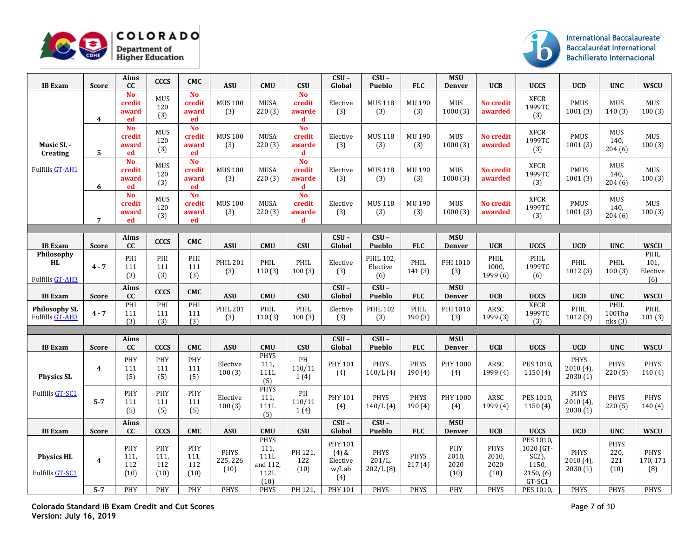



| <b>IB</b> Exam                             | <b>Score</b>                       | Aims<br>cc                         | <b>CCCS</b>                       | <b>CMC</b>                         | <b>ASU</b>                                     | <b>CMU</b>                                                             | <b>CSU</b>                         | $CSU -$<br>Global                                                       | $CSU -$<br>Pueblo                               | <b>FLC</b>                    | <b>MSU</b><br>Denver               | <b>UCB</b>                                          | <b>UCCS</b>                                                                     | <b>UCD</b>                                           | <b>UNC</b>                                        | <b>WSCU</b>                            |
|--------------------------------------------|------------------------------------|------------------------------------|-----------------------------------|------------------------------------|------------------------------------------------|------------------------------------------------------------------------|------------------------------------|-------------------------------------------------------------------------|-------------------------------------------------|-------------------------------|------------------------------------|-----------------------------------------------------|---------------------------------------------------------------------------------|------------------------------------------------------|---------------------------------------------------|----------------------------------------|
|                                            | $\boldsymbol{4}$                   | <b>No</b><br>credit<br>award<br>ed | MUS<br>120<br>(3)                 | <b>No</b><br>credit<br>award<br>ed | <b>MUS 100</b><br>(3)                          | <b>MUSA</b><br>220(3)                                                  | <b>No</b><br>credit<br>awarde<br>d | Elective<br>(3)                                                         | <b>MUS 118</b><br>(3)                           | MU 190<br>(3)                 | MUS<br>1000(3)                     | <b>No credit</b><br>awarded                         | <b>XFCR</b><br>1999TC<br>(3)                                                    | <b>PMUS</b><br>1001(3)                               | <b>MUS</b><br>140(3)                              | MUS<br>100(3)                          |
| Music SL -<br>Creating                     | 5                                  | <b>No</b><br>credit<br>award<br>ed | MUS<br>120<br>(3)                 | <b>No</b><br>credit<br>award<br>ed | <b>MUS 100</b><br>(3)                          | <b>MUSA</b><br>220(3)                                                  | <b>No</b><br>credit<br>awarde<br>d | Elective<br>(3)                                                         | <b>MUS 118</b><br>(3)                           | MU 190<br>(3)                 | <b>MUS</b><br>1000(3)              | <b>No credit</b><br>awarded                         | <b>XFCR</b><br>1999TC<br>(3)                                                    | PMUS<br>1001(3)                                      | MUS<br>140,<br>204(6)                             | MUS<br>100(3)                          |
| Fulfills GT-AH1                            | 6                                  | <b>No</b><br>credit<br>award<br>ed | <b>MUS</b><br>120<br>(3)          | <b>No</b><br>credit<br>award<br>ed | <b>MUS 100</b><br>(3)                          | MUSA<br>220(3)                                                         | <b>No</b><br>credit<br>awarde<br>d | Elective<br>(3)                                                         | <b>MUS 118</b><br>(3)                           | MU 190<br>(3)                 | <b>MUS</b><br>1000(3)              | <b>No credit</b><br>awarded                         | <b>XFCR</b><br>1999TC<br>(3)                                                    | PMUS<br>1001(3)                                      | <b>MUS</b><br>140.<br>204(6)                      | MUS<br>100(3)                          |
|                                            | 7                                  | <b>No</b><br>credit<br>award<br>ed | <b>MUS</b><br>120<br>(3)          | <b>No</b><br>credit<br>award<br>ed | <b>MUS 100</b><br>(3)                          | <b>MUSA</b><br>220 (3)                                                 | <b>No</b><br>credit<br>awarde<br>d | Elective<br>(3)                                                         | <b>MUS 118</b><br>(3)                           | MU 190<br>(3)                 | <b>MUS</b><br>1000(3)              | <b>No credit</b><br>awarded                         | <b>XFCR</b><br>1999TC<br>(3)                                                    | <b>PMUS</b><br>1001(3)                               | <b>MUS</b><br>140,<br>204(6)                      | MUS<br>100(3)                          |
|                                            |                                    |                                    |                                   |                                    |                                                |                                                                        |                                    |                                                                         |                                                 |                               |                                    |                                                     |                                                                                 |                                                      |                                                   |                                        |
| <b>IB</b> Exam                             | <b>Score</b>                       | Aims<br>cc                         | <b>CCCS</b>                       | <b>CMC</b>                         | <b>ASU</b>                                     | <b>CMU</b>                                                             | <b>CSU</b>                         | $CSU -$<br>Global                                                       | $CSU -$<br>Pueblo                               | <b>FLC</b>                    | <b>MSU</b><br><b>Denver</b>        | <b>UCB</b>                                          | <b>UCCS</b>                                                                     | <b>UCD</b>                                           | <b>UNC</b>                                        | <b>WSCU</b>                            |
| Philosophy<br><b>HL</b><br>Fulfills GT-AH3 | $4 - 7$                            | PHI<br>111<br>(3)                  | PHI<br>111<br>(3)                 | PHI<br>111<br>(3)                  | <b>PHIL 201</b><br>(3)                         | PHIL<br>110(3)                                                         | PHIL<br>100(3)                     | Elective<br>(3)                                                         | PHIL 102,<br>Elective<br>(6)                    | PHIL<br>141(3)                | PHI 1010<br>(3)                    | PHIL<br>1000,<br>1999 (6)                           | PHIL<br>1999TC<br>(6)                                                           | PHIL<br>1012(3)                                      | PHIL<br>100(3)                                    | PHIL<br>101,<br>Elective<br>(6)        |
| <b>IB</b> Exam                             | <b>Score</b>                       | Aims<br>cc                         | CCCS                              | <b>CMC</b>                         | <b>ASU</b>                                     | <b>CMU</b>                                                             | <b>CSU</b>                         | $CSU -$<br>Global                                                       | $CSU -$<br>Pueblo                               | <b>FLC</b>                    | <b>MSU</b><br><b>Denver</b>        | <b>UCB</b>                                          | <b>UCCS</b>                                                                     | <b>UCD</b>                                           | <b>UNC</b>                                        | <b>WSCU</b>                            |
| <b>Philosophy SL</b><br>Fulfills GT-AH3    | $4 - 7$                            | PHI<br>111<br>(3)                  | PHI<br>111<br>(3)                 | PHI<br>111<br>(3)                  | <b>PHIL 201</b><br>(3)                         | PHIL<br>110(3)                                                         | PHIL<br>100(3)                     | Elective<br>(3)                                                         | <b>PHIL 102</b><br>(3)                          | PHIL<br>190(3)                | PHI 1010<br>(3)                    | ARSC<br>1999 (3)                                    | <b>XFCR</b><br>1999TC<br>(3)                                                    | PHIL<br>1012(3)                                      | PHIL<br>100Tha<br>nks(3)                          | PHIL<br>101(3)                         |
|                                            |                                    |                                    |                                   |                                    |                                                |                                                                        |                                    |                                                                         |                                                 |                               |                                    |                                                     |                                                                                 |                                                      |                                                   |                                        |
| <b>IB</b> Exam                             | <b>Score</b>                       | Aims<br>cc                         | <b>CCCS</b>                       | <b>CMC</b>                         | <b>ASU</b>                                     | <b>CMU</b>                                                             | <b>CSU</b>                         | $CSU -$<br>Global                                                       | $CSU -$<br>Pueblo                               | <b>FLC</b>                    | <b>MSU</b><br><b>Denver</b>        | <b>UCB</b>                                          | <b>UCCS</b>                                                                     | <b>UCD</b>                                           | <b>UNC</b>                                        | <b>WSCU</b>                            |
| <b>Physics SL</b>                          | $\boldsymbol{4}$                   | PHY<br>111<br>(5)                  | PHY<br>111<br>(5)                 | PHY<br>111<br>(5)                  | Elective<br>100(3)                             | <b>PHYS</b><br>111,<br>111L<br>(5)                                     | PH<br>110/11<br>1(4)               | PHY 101<br>(4)                                                          | <b>PHYS</b><br>140/L(4)                         | <b>PHYS</b><br>190(4)         | PHY 1000<br>(4)                    | ARSC<br>1999 (4)                                    | PES 1010,<br>1150(4)                                                            | <b>PHYS</b><br>$2010(4)$ ,<br>2030(1)                | <b>PHYS</b><br>220(5)                             | PHYS<br>140(4)                         |
| <b>Fulfills GT-SC1</b>                     | $5 - 7$                            | PHY<br>111<br>(5)                  | PHY<br>111<br>(5)                 | PHY<br>111<br>(5)                  | Elective<br>100(3)                             | <b>PHYS</b><br>111,<br>111L<br>(5)                                     | PH<br>110/11<br>1(4)               | PHY 101<br>(4)                                                          | <b>PHYS</b><br>140/L(4)                         | <b>PHYS</b><br>190(4)         | PHY 1000<br>(4)                    | ARSC<br>1999 (4)                                    | PES 1010,<br>1150(4)                                                            | PHYS<br>$2010(4)$ ,<br>2030(1)                       | <b>PHYS</b><br>220(5)                             | PHYS<br>140(4)                         |
| <b>IB</b> Exam                             | <b>Score</b>                       | Aims<br>cc                         | <b>CCCS</b>                       | <b>CMC</b>                         | <b>ASU</b>                                     | <b>CMU</b>                                                             | <b>CSU</b>                         | $CSU -$<br>Global                                                       | $CSU -$<br>Pueblo                               | <b>FLC</b>                    | <b>MSU</b><br><b>Denver</b>        | <b>UCB</b>                                          | <b>UCCS</b>                                                                     | <b>UCD</b>                                           | <b>UNC</b>                                        | <b>WSCU</b>                            |
| <b>Physics HL</b><br>Fulfills GT-SC1       | $\overline{\mathbf{4}}$<br>$5 - 7$ | PHY<br>111,<br>112<br>(10)<br>PHY  | PHY<br>111,<br>112<br>(10)<br>PHY | PHY<br>111,<br>112<br>(10)<br>PHY  | <b>PHYS</b><br>225, 226<br>(10)<br><b>PHYS</b> | <b>PHYS</b><br>111.<br>111L<br>and 112,<br>112L<br>(10)<br><b>PHYS</b> | PH 121,<br>122<br>(10)<br>PH 121   | <b>PHY 101</b><br>$(4)$ &<br>Elective<br>w/Lab<br>(4)<br><b>PHY 101</b> | <b>PHYS</b><br>201/L<br>202/L(8)<br><b>PHYS</b> | <b>PHYS</b><br>217(4)<br>PHYS | PHY<br>2010<br>2020<br>(10)<br>PHY | <b>PHYS</b><br>2010,<br>2020<br>(10)<br><b>PHYS</b> | PES 1010.<br>1020 (GT-<br>$SC2$ ),<br>1150,<br>2150, (6)<br>GT-SC1<br>PES 1010, | <b>PHYS</b><br>$2010(4)$ ,<br>2030(1)<br><b>PHYS</b> | <b>PHYS</b><br>220,<br>221<br>(10)<br><b>PHYS</b> | PHYS<br>170, 171<br>(8)<br><b>PHYS</b> |
|                                            |                                    |                                    |                                   |                                    |                                                |                                                                        |                                    |                                                                         |                                                 |                               |                                    |                                                     |                                                                                 |                                                      |                                                   |                                        |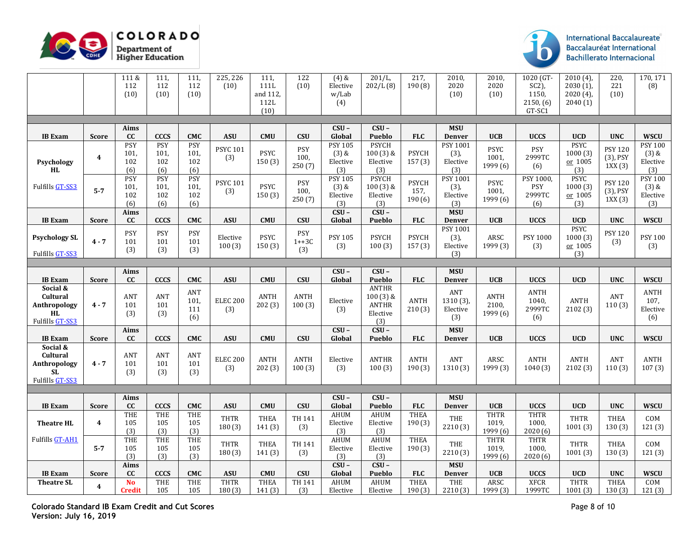



|                                 |                         | 111 &                  | 111.                      | 111,                     | 225, 226                    | 111.             | 122            | $(4)$ &                  | 201/L,                        | 217.           | 2010,                            | 2010,                | 1020 (GT-            | $2010(4)$ ,               | 220,                  | 170, 171                      |
|---------------------------------|-------------------------|------------------------|---------------------------|--------------------------|-----------------------------|------------------|----------------|--------------------------|-------------------------------|----------------|----------------------------------|----------------------|----------------------|---------------------------|-----------------------|-------------------------------|
|                                 |                         | 112                    | 112                       | 112                      | (10)                        | 111L             | (10)           | Elective                 | 202/L(8)                      | 190(8)         | 2020                             | 2020                 | $SC2$ ),             | $2030(1)$ ,               | 221                   | (8)                           |
|                                 |                         | (10)                   | (10)                      | (10)                     |                             | and 112,<br>112L |                | w/Lab<br>(4)             |                               |                | (10)                             | (10)                 | 1150,<br>2150, (6)   | $2020(4)$ ,<br>2040(1)    | (10)                  |                               |
|                                 |                         |                        |                           |                          |                             | (10)             |                |                          |                               |                |                                  |                      | GT-SC1               |                           |                       |                               |
|                                 |                         |                        |                           |                          |                             |                  |                |                          |                               |                |                                  |                      |                      |                           |                       |                               |
|                                 |                         | Aims                   |                           |                          |                             |                  |                | $CSU -$                  | $CSU -$                       |                | <b>MSU</b>                       |                      |                      |                           |                       |                               |
| <b>IB</b> Exam                  | <b>Score</b>            | cc<br><b>PSY</b>       | <b>CCCS</b><br><b>PSY</b> | <b>CMC</b><br><b>PSY</b> | <b>ASU</b>                  | <b>CMU</b>       | <b>CSU</b>     | Global<br><b>PSY 105</b> | Pueblo<br><b>PSYCH</b>        | <b>FLC</b>     | <b>Denver</b><br><b>PSY 1001</b> | <b>UCB</b>           | <b>UCCS</b>          | <b>UCD</b><br><b>PSYC</b> | <b>UNC</b>            | <b>WSCU</b><br><b>PSY 100</b> |
|                                 |                         | 101,                   | 101,                      | 101,                     | <b>PSYC 101</b>             | PSYC             | PSY            | $(3)$ &                  | 100 (3) &                     | <b>PSYCH</b>   | (3),                             | <b>PSYC</b>          | PSY                  | 1000(3)                   | <b>PSY 120</b>        | $(3)$ &                       |
| Psychology                      | $\boldsymbol{4}$        | 102                    | 102                       | 102                      | (3)                         | 150(3)           | 100,<br>250(7) | Elective                 | Elective                      | 157(3)         | Elective                         | 1001,<br>1999 (6)    | 2999TC               | or 1005                   | $(3)$ , PSY<br>1XX(3) | Elective                      |
| ${\bf HL}$                      |                         | (6)                    | (6)                       | (6)                      |                             |                  |                | (3)                      | (3)                           |                | (3)                              |                      | (6)                  | (3)                       |                       | (3)                           |
| Fulfills GT-SS3                 |                         | <b>PSY</b>             | PSY<br>101.               | <b>PSY</b>               | <b>PSYC 101</b>             | <b>PSYC</b>      | PSY            | <b>PSY 105</b>           | <b>PSYCH</b>                  | <b>PSYCH</b>   | PSY 1001                         | PSYC                 | PSY 1000,<br>PSY     | <b>PSYC</b>               | <b>PSY 120</b>        | <b>PSY 100</b><br>$(3)$ &     |
|                                 | $5 - 7$                 | 101,<br>102            | 102                       | 101,<br>102              | (3)                         | 150(3)           | 100,           | $(3)$ &<br>Elective      | 100 (3) &<br>${\rm Electric}$ | 157,           | (3),<br>Elective                 | 1001,                | 2999TC               | 1000(3)<br>or 1005        | $(3)$ , PSY           | Elective                      |
|                                 |                         | (6)                    | (6)                       | (6)                      |                             |                  | 250(7)         | (3)                      | (3)                           | 190(6)         | (3)                              | 1999 (6)             | (6)                  | (3)                       | 1XX(3)                | (3)                           |
|                                 |                         | Aims                   |                           |                          |                             |                  |                | $CSU -$                  | $CSU -$                       |                | <b>MSU</b>                       |                      |                      |                           |                       |                               |
| <b>IB</b> Exam                  | <b>Score</b>            | cc                     | <b>CCCS</b>               | <b>CMC</b>               | <b>ASU</b>                  | <b>CMU</b>       | <b>CSU</b>     | Global                   | Pueblo                        | ${\bf FLC}$    | Denver                           | <b>UCB</b>           | <b>UCCS</b>          | <b>UCD</b>                | <b>UNC</b>            | <b>WSCU</b>                   |
| <b>Psychology SL</b>            |                         | PSY                    | PSY                       | PSY                      | Elective                    | PSYC             | PSY            | <b>PSY 105</b>           | <b>PSYCH</b>                  | <b>PSYCH</b>   | <b>PSY 1001</b><br>(3),          | ARSC                 | PSY 1000             | <b>PSYC</b><br>1000(3)    | <b>PSY 120</b>        | <b>PSY 100</b>                |
|                                 | $4 - 7$                 | 101                    | 101                       | 101                      | 100(3)                      | 150(3)           | $1++3C$        | (3)                      | 100(3)                        | 157(3)         | Elective                         | 1999 (3)             | (3)                  | or 1005                   | (3)                   | (3)                           |
| Fulfills GT-SS3                 |                         | (3)                    | (3)                       | (3)                      |                             |                  | (3)            |                          |                               |                | (3)                              |                      |                      | (3)                       |                       |                               |
|                                 |                         |                        |                           |                          |                             |                  |                |                          |                               |                |                                  |                      |                      |                           |                       |                               |
| <b>IB</b> Exam                  | <b>Score</b>            | Aims<br>cc             | <b>CCCS</b>               | CMC                      | $\boldsymbol{\mathsf{ASU}}$ | CMU              | CSU            | $CSU -$<br>Global        | $CSU -$<br>Pueblo             | ${\bf FLC}$    | <b>MSU</b><br><b>Denver</b>      | UCB                  | <b>UCCS</b>          | <b>UCD</b>                | <b>UNC</b>            | <b>WSCU</b>                   |
| Social &                        |                         |                        |                           |                          |                             |                  |                |                          | ANTHR                         |                |                                  |                      |                      |                           |                       |                               |
| Cultural                        |                         | ANT                    | ANT                       | ANT<br>101,              | <b>ELEC 200</b>             | ANTH             | ANTH           | Elective                 | 100 (3) &                     | <b>ANTH</b>    | ANT<br>1310(3)                   | ANTH                 | <b>ANTH</b><br>1040, | ANTH                      | ANT                   | ANTH<br>107,                  |
| Anthropology                    | $4 - 7$                 | 101                    | 101                       | 111                      | (3)                         | 202(3)           | 100(3)         | (3)                      | ANTHR                         | 210(3)         | Elective                         | 2100,                | 2999TC               | 2102 (3)                  | 110(3)                | Elective                      |
| $\mathbf{H}$<br>Fulfills GT-SS3 |                         | (3)                    | (3)                       | (6)                      |                             |                  |                |                          | Elective<br>(3)               |                | (3)                              | 1999 (6)             | (6)                  |                           |                       | (6)                           |
|                                 |                         | Aims                   |                           |                          |                             |                  |                | $CSU -$                  | $CSU -$                       |                | <b>MSU</b>                       |                      |                      |                           |                       |                               |
| <b>IB</b> Exam                  | Score                   | $\mathbf{C}\mathbf{C}$ | <b>CCCS</b>               | <b>CMC</b>               | $\boldsymbol{\mathsf{ASU}}$ | CMU              | CSU            | Global                   | Pueblo                        | ${\bf FLC}$    | Denver                           | <b>UCB</b>           | <b>UCCS</b>          | <b>UCD</b>                | <b>UNC</b>            | <b>WSCU</b>                   |
| Social &                        |                         |                        |                           |                          |                             |                  |                |                          |                               |                |                                  |                      |                      |                           |                       |                               |
| Cultural<br>Anthropology        | $4 - 7$                 | <b>ANT</b><br>101      | ANT<br>101                | ANT<br>101               | <b>ELEC 200</b>             | ANTH             | <b>ANTH</b>    | Elective                 | <b>ANTHR</b>                  | ANTH           | ANT                              | ARSC                 | ANTH                 | <b>ANTH</b>               | ANT                   | ANTH                          |
| $\overline{\mathbf{SL}}$        |                         | (3)                    | (3)                       | (3)                      | (3)                         | 202(3)           | 100(3)         | (3)                      | 100(3)                        | 190(3)         | 1310 (3)                         | 1999 (3)             | 1040(3)              | 2102 (3)                  | 110(3)                | 107(3)                        |
| Fulfills GT-SS3                 |                         |                        |                           |                          |                             |                  |                |                          |                               |                |                                  |                      |                      |                           |                       |                               |
|                                 |                         |                        |                           |                          |                             |                  |                | $CSU -$                  | $CSU -$                       |                |                                  |                      |                      |                           |                       |                               |
| <b>IB</b> Exam                  | <b>Score</b>            | Aims<br>cc             | <b>CCCS</b>               | <b>CMC</b>               | <b>ASU</b>                  | <b>CMU</b>       | <b>CSU</b>     | Global                   | Pueblo                        | <b>FLC</b>     | <b>MSU</b><br>Denver             | <b>UCB</b>           | <b>UCCS</b>          | UCD                       | <b>UNC</b>            | <b>WSCU</b>                   |
|                                 |                         | THE                    | THE                       | THE                      |                             |                  |                | <b>AHUM</b>              | <b>AHUM</b>                   | <b>THEA</b>    |                                  | <b>THTR</b>          | <b>THTR</b>          |                           |                       |                               |
| <b>Theatre HL</b>               | $\overline{\mathbf{4}}$ | 105                    | 105                       | 105                      | <b>THTR</b><br>180(3)       | THEA<br>141(3)   | TH 141<br>(3)  | Elective                 | Elective                      | 190(3)         | THE<br>2210 (3)                  | 1019,                | 1000,                | THTR<br>1001(3)           | THEA<br>130(3)        | COM<br>121(3)                 |
|                                 |                         | (3)                    | (3)                       | (3)                      |                             |                  |                | (3)                      | (3)                           |                |                                  | 1999 (6)             | 2020(6)              |                           |                       |                               |
| Fulfills GT-AH1                 | $5 - 7$                 | THE<br>105             | THE<br>105                | THE<br>105               | <b>THTR</b>                 | THEA             | TH 141         | AHUM<br>Elective         | AHUM<br>Elective              | THEA<br>190(3) | THE                              | <b>THTR</b><br>1019, | <b>THTR</b><br>1000, | THTR                      | THEA                  | COM                           |
|                                 |                         | (3)                    | (3)                       | (3)                      | 180(3)                      | 141(3)           | (3)            | (3)                      | (3)                           |                | 2210 (3)                         | 1999 (6)             | 2020(6)              | 1001(3)                   | 130(3)                | 121(3)                        |
|                                 |                         | Aims                   |                           |                          |                             |                  |                | $CSU -$                  | $CSU -$                       |                | <b>MSU</b>                       |                      |                      |                           |                       |                               |
| <b>IB</b> Exam                  | <b>Score</b>            | cc                     | <b>CCCS</b>               | <b>CMC</b>               | <b>ASU</b>                  | <b>CMU</b>       | CSU            | Global                   | Pueblo                        | ${\bf FLC}$    | <b>Denver</b>                    | UCB                  | <b>UCCS</b>          | <b>UCD</b>                | <b>UNC</b>            | <b>WSCU</b>                   |
| <b>Theatre SL</b>               | $\boldsymbol{4}$        | N <sub>o</sub>         | THE                       | THE                      | <b>THTR</b>                 | <b>THEA</b>      | <b>TH 141</b>  | <b>AHUM</b>              | <b>AHUM</b>                   | <b>THEA</b>    | THE                              | ARSC                 | <b>XFCR</b>          | <b>THTR</b>               | <b>THEA</b>           | COM                           |
|                                 |                         | <b>Credit</b>          | 105                       | 105                      | 180(3)                      | 141(3)           | (3)            | Elective                 | Elective                      | 190(3)         | 2210 (3)                         | 1999 (3)             | 1999TC               | 1001(3)                   | 130(3)                | 121(3)                        |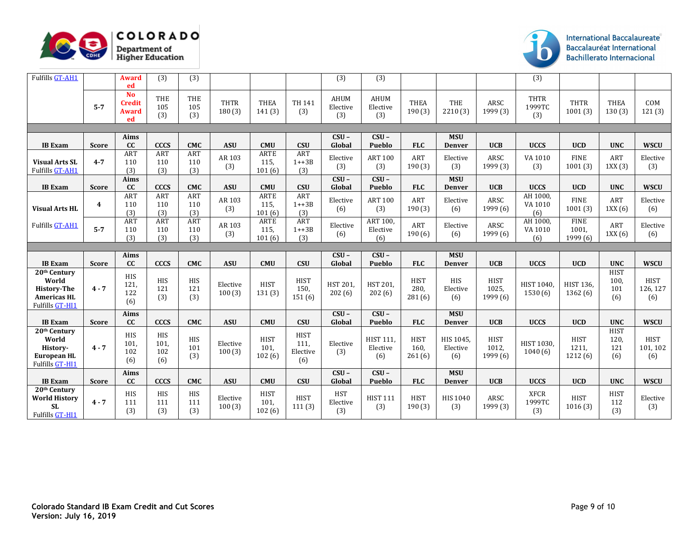



| Fulfills GT-AH1                                                                                         |                         | <b>Award</b><br>ed                               | (3)                              | (3)                      |                                  |                               |                                        | (3)                            | (3)                                           |                               |                                               |                                  | (3)                                  |                                  |                                                 |                                               |
|---------------------------------------------------------------------------------------------------------|-------------------------|--------------------------------------------------|----------------------------------|--------------------------|----------------------------------|-------------------------------|----------------------------------------|--------------------------------|-----------------------------------------------|-------------------------------|-----------------------------------------------|----------------------------------|--------------------------------------|----------------------------------|-------------------------------------------------|-----------------------------------------------|
|                                                                                                         | $5 - 7$                 | <b>No</b><br><b>Credit</b><br><b>Award</b><br>ed | THE<br>105<br>(3)                | THE<br>105<br>(3)        | <b>THTR</b><br>180(3)            | <b>THEA</b><br>141(3)         | <b>TH 141</b><br>(3)                   | <b>AHUM</b><br>Elective<br>(3) | AHUM<br>Elective<br>(3)                       | <b>THEA</b><br>190(3)         | THE<br>2210 (3)                               | ARSC<br>1999 (3)                 | <b>THTR</b><br>1999TC<br>(3)         | <b>THTR</b><br>1001(3)           | <b>THEA</b><br>130(3)                           | COM<br>121(3)                                 |
|                                                                                                         |                         |                                                  |                                  |                          |                                  |                               |                                        |                                |                                               |                               |                                               |                                  |                                      |                                  |                                                 |                                               |
| <b>IB</b> Exam                                                                                          | <b>Score</b>            | Aims<br>cc                                       | <b>CCCS</b>                      | <b>CMC</b>               | <b>ASU</b>                       | <b>CMU</b>                    | <b>CSU</b>                             | $CSU -$<br>Global              | $CSU -$<br>Pueblo                             | <b>FLC</b>                    | <b>MSU</b><br><b>Denver</b>                   | <b>UCB</b>                       | <b>UCCS</b>                          | <b>UCD</b>                       | <b>UNC</b>                                      | <b>WSCU</b>                                   |
| <b>Visual Arts SL</b><br>Fulfills GT-AH1                                                                | $4 - 7$                 | <b>ART</b><br>110<br>(3)                         | ART<br>110<br>(3)                | <b>ART</b><br>110<br>(3) | AR 103<br>(3)                    | <b>ARTE</b><br>115.<br>101(6) | <b>ART</b><br>$1 + 3B$<br>(3)          | Elective<br>(3)                | <b>ART 100</b><br>(3)                         | ART<br>190(3)                 | Elective<br>(3)                               | ARSC<br>1999 (3)                 | VA 1010<br>(3)                       | <b>FINE</b><br>1001(3)           | <b>ART</b><br>1XX(3)                            | Elective<br>(3)                               |
| <b>IB</b> Exam                                                                                          | <b>Score</b>            | Aims<br>cc                                       | <b>CCCS</b>                      | <b>CMC</b>               | <b>ASU</b>                       | <b>CMU</b>                    | <b>CSU</b>                             | $CSU -$<br>Global              | $CSU -$<br>Pueblo                             | <b>FLC</b>                    | <b>MSU</b><br><b>Denver</b>                   | <b>UCB</b>                       | <b>UCCS</b>                          | <b>UCD</b>                       | <b>UNC</b>                                      | <b>WSCU</b>                                   |
| <b>Visual Arts HL</b>                                                                                   | $\overline{\mathbf{4}}$ | ART<br>110<br>(3)                                | ART<br>110<br>(3)                | ART<br>110<br>(3)        | AR 103<br>(3)                    | ARTE<br>115,<br>101(6)        | <b>ART</b><br>$1 + 3B$<br>(3)          | Elective<br>(6)                | <b>ART 100</b><br>(3)                         | ART<br>190(3)                 | Elective<br>(6)                               | <b>ARSC</b><br>1999 (6)          | AH 1000,<br>VA 1010<br>(6)           | <b>FINE</b><br>1001(3)           | ART<br>1XX(6)                                   | Elective<br>(6)                               |
| <b>Fulfills GT-AH1</b>                                                                                  | $5 - 7$                 | ART<br>110<br>(3)                                | ART<br>110<br>(3)                | ART<br>110<br>(3)        | AR 103<br>(3)                    | <b>ARTE</b><br>115.<br>101(6) | ART<br>$1 + 3B$<br>(3)                 | Elective<br>(6)                | ART 100,<br>Elective<br>(6)                   | ART<br>190(6)                 | Elective<br>(6)                               | ARSC<br>1999(6)                  | AH 1000,<br>VA 1010<br>(6)           | <b>FINE</b><br>1001,<br>1999 (6) | <b>ART</b><br>1XX(6)                            | Elective<br>(6)                               |
|                                                                                                         |                         |                                                  |                                  |                          |                                  |                               |                                        |                                |                                               |                               |                                               |                                  |                                      |                                  |                                                 |                                               |
|                                                                                                         |                         |                                                  |                                  |                          |                                  |                               |                                        |                                |                                               |                               |                                               |                                  |                                      |                                  |                                                 |                                               |
| <b>IB</b> Exam                                                                                          | <b>Score</b>            | Aims<br>cc                                       | <b>CCCS</b>                      | <b>CMC</b>               | <b>ASU</b>                       | <b>CMU</b>                    | <b>CSU</b>                             | $CSU -$<br>Global              | $CSU -$<br>Pueblo                             | <b>FLC</b>                    | <b>MSU</b><br><b>Denver</b>                   | <b>UCB</b>                       | <b>UCCS</b>                          | <b>UCD</b>                       | <b>UNC</b>                                      | <b>WSCU</b>                                   |
| 20 <sup>th</sup> Century<br>World<br><b>History-The</b><br><b>Americas HL</b><br><b>Fulfills GT-HI1</b> | $4 - 7$                 | HIS<br>121,<br>122<br>(6)                        | <b>HIS</b><br>121<br>(3)         | <b>HIS</b><br>121<br>(3) | Elective<br>100(3)               | <b>HIST</b><br>131(3)         | <b>HIST</b><br>150,<br>151(6)          | HST 201,<br>202(6)             | HST 201,<br>202(6)                            | <b>HIST</b><br>280,<br>281(6) | <b>HIS</b><br>Elective<br>(6)                 | <b>HIST</b><br>1025,<br>1999 (6) | HIST 1040,<br>1530 (6)               | <b>HIST 136.</b><br>1362(6)      | <b>HIST</b><br>100.<br>101<br>(6)               | <b>HIST</b><br>126, 127<br>(6)                |
| <b>IB</b> Exam                                                                                          |                         | Aims<br>cc                                       | <b>CCCS</b>                      | <b>CMC</b>               |                                  | <b>CMU</b>                    | CSU                                    | $CSU -$                        | $CSU -$                                       | <b>FLC</b>                    | <b>MSU</b>                                    | <b>UCB</b>                       |                                      | <b>UCD</b>                       |                                                 |                                               |
| 20 <sup>th</sup> Century<br>World<br>History-<br><b>European HL</b><br>Fulfills GT-HI1                  | <b>Score</b><br>$4 - 7$ | <b>HIS</b><br>101,<br>102<br>(6)                 | <b>HIS</b><br>101,<br>102<br>(6) | <b>HIS</b><br>101<br>(3) | <b>ASU</b><br>Elective<br>100(3) | <b>HIST</b><br>101,<br>102(6) | <b>HIST</b><br>111,<br>Elective<br>(6) | Global<br>Elective<br>(3)      | Pueblo<br><b>HIST 111.</b><br>Elective<br>(6) | <b>HIST</b><br>160,<br>261(6) | <b>Denver</b><br>HIS 1045.<br>Elective<br>(6) | <b>HIST</b><br>1012.<br>1999 (6) | <b>UCCS</b><br>HIST 1030,<br>1040(6) | <b>HIST</b><br>1211,<br>1212 (6) | <b>UNC</b><br><b>HIST</b><br>120.<br>121<br>(6) | <b>WSCU</b><br><b>HIST</b><br>101, 102<br>(6) |
| <b>IB</b> Exam                                                                                          | Score                   | Aims<br>cc                                       | <b>CCCS</b>                      | <b>CMC</b>               | <b>ASU</b>                       | <b>CMU</b>                    | CSU                                    | $CSU -$<br>Global              | $\overline{\text{CSU}}$ –<br>Pueblo           | <b>FLC</b>                    | <b>MSU</b><br><b>Denver</b>                   | <b>UCB</b>                       | <b>UCCS</b>                          | <b>UCD</b>                       | <b>UNC</b>                                      | <b>WSCU</b>                                   |